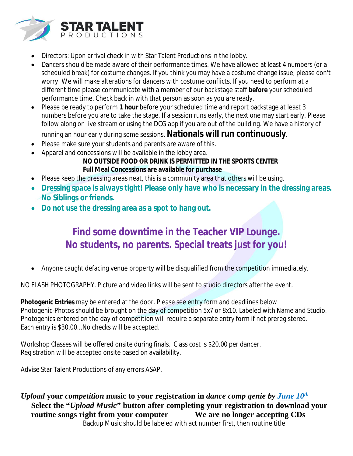

- Directors: Upon arrival check in with Star Talent Productions in the lobby.
- Dancers should be made aware of their performance times. We have allowed at least 4 numbers (or a scheduled break) for costume changes. If you think you may have a costume change issue, please don't worry! We will make alterations for dancers with costume conflicts. If you need to perform at a different time please communicate with a member of our backstage staff **before** your scheduled performance time, Check back in with that person as soon as you are ready.
- Please be ready to perform **1 hour** before your scheduled time and report backstage at least 3 numbers before you are to take the stage. If a session runs early, the next one may start early. Please follow along on live stream or using the DCG app if you are out of the building. We have a history of

running an hour early during some sessions. **Nationals will run continuously**.

- Please make sure your students and parents are aware of this.
- Apparel and concessions will be available in the lobby area.

#### **NO OUTSIDE FOOD OR DRINK IS PERMITTED IN THE SPORTS CENTER Full Meal Concessions are available for purchase**

- Please keep the dressing areas neat, this is a community area that others will be using.
- **Dressing space is always tight! Please only have who is necessary in the dressing areas. No Siblings or friends.**
- **Do not use the dressing area as a spot to hang out.**

### **Find some downtime in the Teacher VIP Lounge. No students, no parents. Special treats just for you!**

Anyone caught defacing venue property will be disqualified from the competition immediately.

NO FLASH PHOTOGRAPHY. Picture and video links will be sent to studio directors after the event.

**Photogenic Entries** may be entered at the door. Please see entry form and deadlines below Photogenic-Photos should be brought on the day of competition 5x7 or 8x10. Labeled with Name and Studio. Photogenics entered on the day of competition will require a separate entry form if not preregistered. Each entry is \$30.00...No checks will be accepted.

Workshop Classes will be offered onsite during finals. Class cost is \$20.00 per dancer. Registration will be accepted onsite based on availability.

Advise Star Talent Productions of any errors ASAP.

*Upload* **your** *competition* **music to your registration in** *dance comp genie by June 10 th* **Select the "***Upload Music***" button after completing your registration to download your routine songs right from your computer We are no longer accepting CDs** Backup Music should be labeled with act number first, then routine title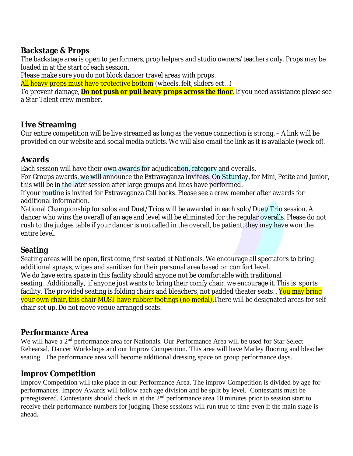#### **Backstage & Props**

The backstage area is open to performers, prop helpers and studio owners/teachers only. Props may be loaded in at the start of each session.

Please make sure you do not block dancer travel areas with props.

All heavy props must have protective bottom (wheels, felt, sliders ect...)

To prevent damage, **Do not push or pull heavy props across the floor**. If you need assistance please see a Star Talent crew member.

#### **Live Streaming**

Our entire competition will be live streamed as long as the venue connection is strong. – A link will be provided on our website and social media outlets. We will also email the link as it is available (week of).

#### **Awards**

Each session will have their own awards for adjudication, category and overalls.

For Groups awards, we will announce the Extravaganza invitees. On Saturday, for Mini, Petite and Junior, this will be in the later session after large groups and lines have performed.

If your routine is invited for Extravaganza Call backs. Please see a crew member after awards for additional information.

National Championship for solos and Duet/Trios will be awarded in each solo/Duet/Trio session. A dancer who wins the overall of an age and level will be eliminated for the regular overalls. Please do not rush to the judges table if your dancer is not called in the overall, be patient, they may have won the entire level.

#### **Seating**

Seating areas will be open, first come, first seated at Nationals. We encourage all spectators to bring additional sprays, wipes and sanitizer for their personal area based on comfort level. We do have extra space in this facility should anyone not be comfortable with traditional seating…Additionally, if anyone just wants to bring their comfy chair, we encourage it. This is sports facility. The provided seating is folding chairs and bleachers, not padded theater seats. . You may bring your own chair, this chair MUST have rubber footings (no medal).There will be designated areas for self chair set up. Do not move venue arranged seats.

#### **Performance Area**

We will have a 2<sup>nd</sup> performance area for Nationals. Our Performance Area will be used for Star Select Rehearsal, Dancer Workshops and our Improv Competition. This area will have Marley flooring and bleacher seating. The performance area will become additional dressing space on group performance days.

#### **Improv Competition**

Improv Competition will take place in our Performance Area. The improv Competition is divided by age for performances. Improv Awards will follow each age division and be split by level. Contestants must be preregistered. Contestants should check in at the 2<sup>nd</sup> performance area 10 minutes prior to session start to receive their performance numbers for judging These sessions will run true to time even if the main stage is ahead.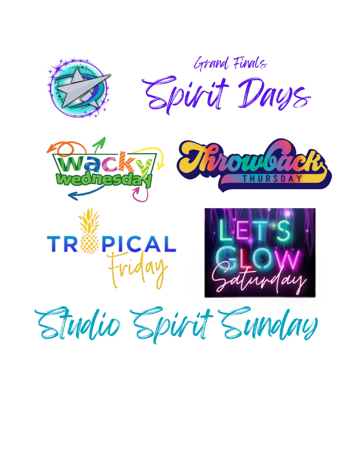



Studio Spirit Sunday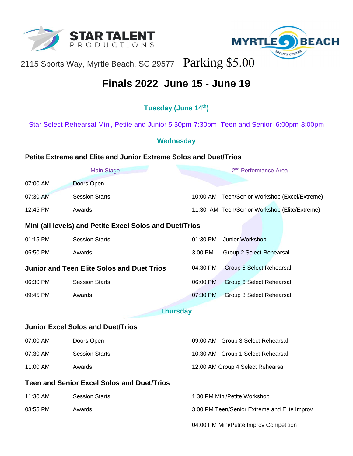



## 2115 Sports Way, Myrtle Beach, SC 29577 Parking \$5.00

## **Finals 2022 June 15 - June 19**

#### **Tuesday (June 14th)**

Star Select Rehearsal Mini, Petite and Junior 5:30pm-7:30pm Teen and Senior 6:00pm-8:00pm

#### **Wednesday**

#### **Petite Extreme and Elite and Junior Extreme Solos and Duet/Trios**

| <b>Main Stage</b>                                       |                       | 2 <sup>nd</sup> Performance Area              |  |  |
|---------------------------------------------------------|-----------------------|-----------------------------------------------|--|--|
| 07:00 AM                                                | Doors Open            |                                               |  |  |
| 07:30 AM                                                | <b>Session Starts</b> | 10:00 AM Teen/Senior Workshop (Excel/Extreme) |  |  |
| 12:45 PM                                                | Awards                | 11:30 AM Teen/Senior Workshop (Elite/Extreme) |  |  |
| Mini (all levels) and Petite Excel Solos and Duet/Trios |                       |                                               |  |  |
| 01:15 PM                                                | <b>Session Starts</b> | 01:30 PM<br>Junior Workshop                   |  |  |
| 05:50 PM                                                | Awards                | 3:00 PM<br>Group 2 Select Rehearsal           |  |  |
| <b>Junior and Teen Elite Solos and Duet Trios</b>       |                       | 04:30 PM<br>Group 5 Select Rehearsal          |  |  |
| 06:30 PM                                                | <b>Session Starts</b> | 06:00 PM<br>Group 6 Select Rehearsal          |  |  |
| 09:45 PM                                                | Awards                | 07:30 PM<br>Group 8 Select Rehearsal          |  |  |
| <b>Thursday</b>                                         |                       |                                               |  |  |
| <b>Junior Excel Solos and Duet/Trios</b>                |                       |                                               |  |  |
| 07:00 AM                                                | Doors Open            | 09:00 AM Group 3 Select Rehearsal             |  |  |
| 07:30 AM                                                | <b>Session Starts</b> | 10:30 AM Group 1 Select Rehearsal             |  |  |
| 11:00 AM                                                | Awards                | 12:00 AM Group 4 Select Rehearsal             |  |  |
| <b>Teen and Senior Excel Solos and Duet/Trios</b>       |                       |                                               |  |  |
| 11:30 AM                                                | <b>Session Starts</b> | 1:30 PM Mini/Petite Workshop                  |  |  |
| 03:55 PM                                                | Awards                | 3:00 PM Teen/Senior Extreme and Elite Improv  |  |  |
|                                                         |                       | 04:00 PM Mini/Petite Improv Competition       |  |  |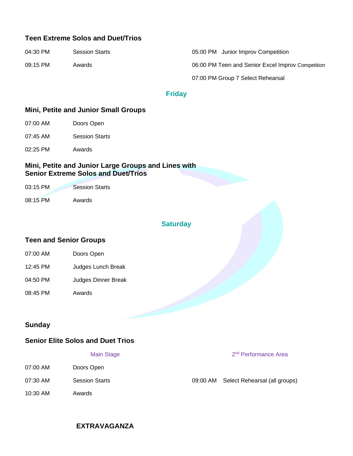#### **Teen Extreme Solos and Duet/Trios**

| 04:30 PM   | <b>Session Starts</b> | 05:00 PM Junior Improv Competition                |
|------------|-----------------------|---------------------------------------------------|
| $09:15$ PM | Awards                | 06:00 PM Teen and Senior Excel Improv Competition |
|            |                       | 07:00 PM Group 7 Select Rehearsal                 |

#### **Friday**

#### **Mini, Petite and Junior Small Groups**

- 07:00 AM Doors Open
- 07:45 AM Session Starts
- 02:25 PM Awards

#### **Mini, Petite and Junior Large Groups and Lines with Senior Extreme Solos and Duet/Trios**

| 03:15 PM | <b>Session Starts</b> |
|----------|-----------------------|
| 08:15 PM | Awards                |

#### **Saturday**

#### **Teen and Senior Groups**

| 07:00 AM | Doors Open          |
|----------|---------------------|
| 12:45 PM | Judges Lunch Break  |
| 04:50 PM | Judges Dinner Break |
| 08:45 PM | Awards              |

#### **Sunday**

#### **Senior Elite Solos and Duet Trios**

#### **Main Stage**

- 07:00 AM Doors Open
- 
- 10:30 AM Awards

#### 2<sup>nd</sup> Performance Area

07:30 AM Session Starts 609:00 AM Select Rehearsal (all groups)

#### **EXTRAVAGANZA**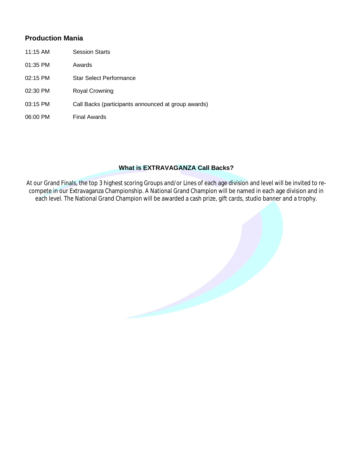#### **Production Mania**

- 11:15 AM Session Starts
- 01:35 PM Awards
- 02:15 PM Star Select Performance
- 02:30 PM Royal Crowning
- 03:15 PM Call Backs (participants announced at group awards)
- 06:00 PM Final Awards

#### **What is EXTRAVAGANZA Call Backs?**

At our Grand Finals, the top 3 highest scoring Groups and/or Lines of each age division and level will be invited to recompete in our Extravaganza Championship. A National Grand Champion will be named in each age division and in each level. The National Grand Champion will be awarded a cash prize, gift cards, studio banner and a trophy.

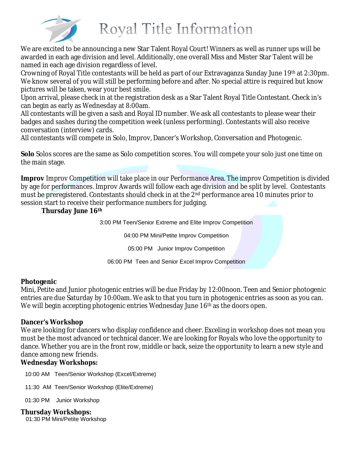

# Royal Title Information

We are excited to be announcing a new Star Talent Royal Court! Winners as well as runner ups will be awarded in each age division and level. Additionally, one overall Miss and Mister Star Talent will be named in each age division regardless of level.

Crowning of Royal Title contestants will be held as part of our Extravaganza Sunday June 19th at 2:30pm. We know several of you will still be performing before and after. No special attire is required but know pictures will be taken, wear your best smile.

Upon arrival, please check in at the registration desk as a Star Talent Royal Title Contestant. Check in's can begin as early as Wednesday at 8:00am.

All contestants will be given a sash and Royal ID number. We ask all contestants to please wear their badges and sashes during the competition week (unless performing). Contestants will also receive conversation (interview) cards.

All contestants will compete in Solo, Improv, Dancer's Workshop, Conversation and Photogenic.

**Solo** Solos scores are the same as Solo competition scores. You will compete your solo just one time on the main stage.

**Improv** Improv Competition will take place in our Performance Area. The improv Competition is divided by age for performances. Improv Awards will follow each age division and be split by level. Contestants must be preregistered. Contestants should check in at the 2<sup>nd</sup> performance area 10 minutes prior to session start to receive their performance numbers for judging.

#### **Thursday June 16th**

3:00 PM Teen/Senior Extreme and Elite Improv Competition

04:00 PM Mini/Petite Improv Competition

05:00 PM Junior Improv Competition

06:00 PM Teen and Senior Excel Improv Competition

#### **Photogenic**

Mini, Petite and Junior photogenic entries will be due Friday by 12:00noon. Teen and Senior photogenic entries are due Saturday by 10:00am. We ask to that you turn in photogenic entries as soon as you can. We will begin accepting photogenic entries Wednesday June 16<sup>th</sup> as the doors open.

#### **Dancer's Workshop**

We are looking for dancers who display confidence and cheer. Exceling in workshop does not mean you must be the most advanced or technical dancer. We are looking for Royals who love the opportunity to dance. Whether you are in the front row, middle or back, seize the opportunity to learn a new style and dance among new friends.

#### **Wednesday Workshops:**

10:00 AM Teen/Senior Workshop (Excel/Extreme)

11:30 AM Teen/Senior Workshop (Elite/Extreme)

01:30 PM Junior Workshop

#### **Thursday Workshops:**

01:30 PM Mini/Petite Workshop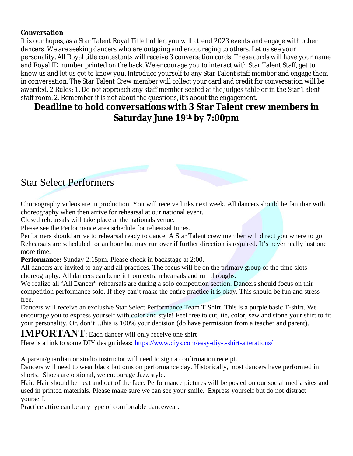#### **Conversation**

It is our hopes, as a Star Talent Royal Title holder, you will attend 2023 events and engage with other dancers. We are seeking dancers who are outgoing and encouraging to others. Let us see your personality. All Royal title contestants will receive 3 conversation cards. These cards will have your name and Royal ID number printed on the back. We encourage you to interact with Star Talent Staff, get to know us and let us get to know you. Introduce yourself to any Star Talent staff member and engage them in conversation. The Star Talent Crew member will collect your card and credit for conversation will be awarded. 2 Rules: 1. Do not approach any staff member seated at the judges table or in the Star Talent staff room. 2. Remember it is not about the questions, it's about the engagement.

#### **Deadline to hold conversations with 3 Star Talent crew members in Saturday June 19th by 7:00pm**



Choreography videos are in production. You will receive links next week. All dancers should be familiar with choreography when then arrive for rehearsal at our national event.

Closed rehearsals will take place at the nationals venue.

Please see the Performance area schedule for rehearsal times.

Performers should arrive to rehearsal ready to dance. A Star Talent crew member will direct you where to go. Rehearsals are scheduled for an hour but may run over if further direction is required. It's never really just one more time.

**Performance:** Sunday 2:15pm. Please check in backstage at 2:00.

All dancers are invited to any and all practices. The focus will be on the primary group of the time slots choreography. All dancers can benefit from extra rehearsals and run throughs.

We realize all 'All Dancer" rehearsals are during a solo competition section. Dancers should focus on thir competition performance solo. If they can't make the entire practice it is okay. This should be fun and stress free.

Dancers will receive an exclusive Star Select Performance Team T Shirt. This is a purple basic T-shirt. We encourage you to express yourself with color and style! Feel free to cut, tie, color, sew and stone your shirt to fit your personality. Or, don't…this is 100% your decision (do have permission from a teacher and parent).

**IMPORTANT**: Each dancer will only receive one shirt

Here is a link to some DIY design ideas: <https://www.diys.com/easy-diy-t-shirt-alterations/>

A parent/guardian or studio instructor will need to sign a confirmation receipt.

Dancers will need to wear black bottoms on performance day. Historically, most dancers have performed in shorts. Shoes are optional, we encourage Jazz style.

Hair: Hair should be neat and out of the face. Performance pictures will be posted on our social media sites and used in printed materials. Please make sure we can see your smile. Express yourself but do not distract yourself.

Practice attire can be any type of comfortable dancewear.